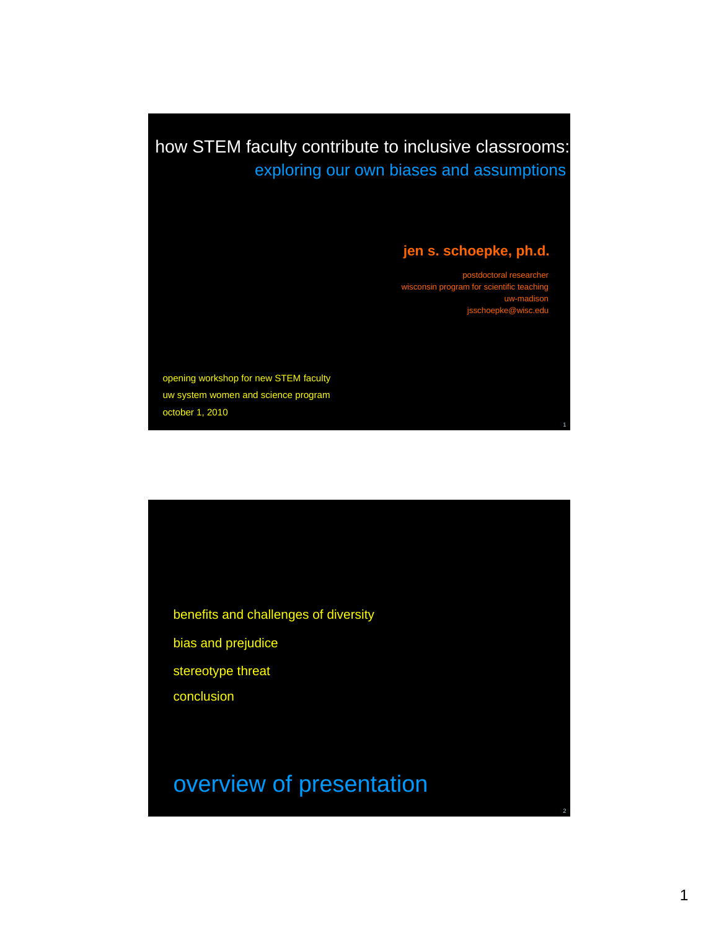how STEM faculty contribute to inclusive classrooms: exploring our own biases and assumptions

### **jen s. schoepke, ph.d.**

postdoctoral researcher isconsin progr uwjsschoepke@wisc.edu

1

2

opening workshop for new STEM faculty uw system women and science program october 1, 2010

benefits and challenges of diversity bias and prejudice stereotype threat

conclusion

## overview of presentation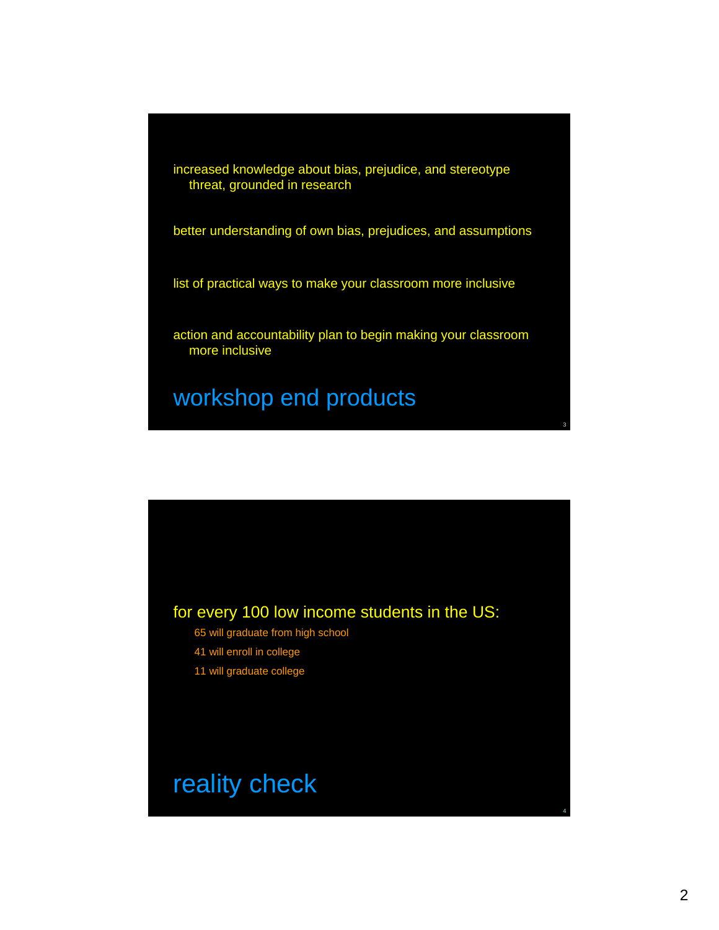increased knowledge about bias, prejudice, and stereotype threat, grounded in research

better understanding of own bias, prejudices, and assumptions

list of practical ways to make your classroom more inclusive

action and accountability plan to begin making your classroom more inclusive

### workshop end products

### for every 100 low income students in the US:

- 65 will graduate from high school
- 41 will enroll in college
- 11 will graduate college

## reality check

3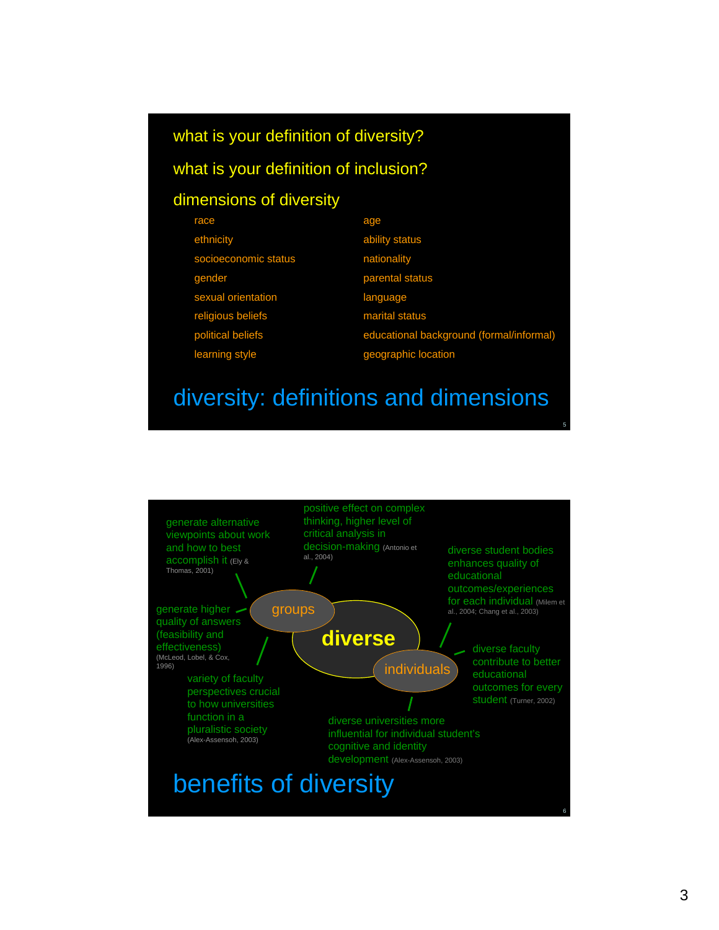#### what is your definition of diversity?

#### what is your definition of inclusion?

#### dimensions of diversity

| race                 | age                                      |
|----------------------|------------------------------------------|
| ethnicity            | ability status                           |
| socioeconomic status | nationality                              |
| gender               | parental status                          |
| sexual orientation   | language                                 |
| religious beliefs    | marital status                           |
| political beliefs    | educational background (formal/informal) |
| learning style       | geographic location                      |

### diversity: definitions and dimensions

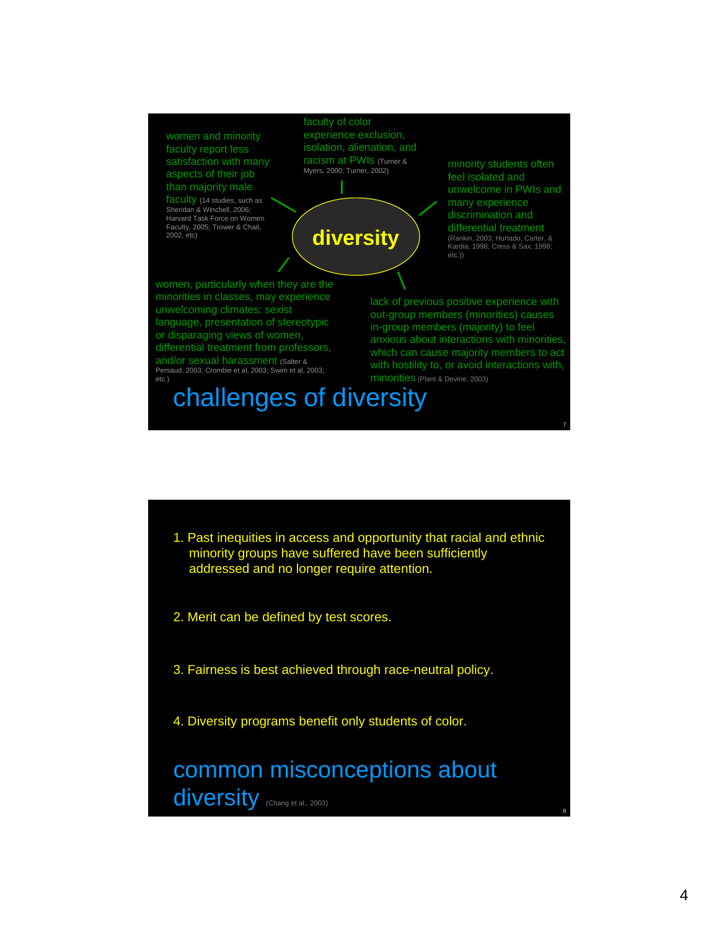

- 1. Past inequities in access and opportunity that racial and ethnic minority groups have suffered have been sufficiently addressed and no longer require attention.
- 2. Merit can be defined by test scores.
- 3. Fairness is best achieved through race-neutral policy.
- 4. Diversity programs benefit only students of color.

### common misconceptions about diversity (Chang et al., 2003)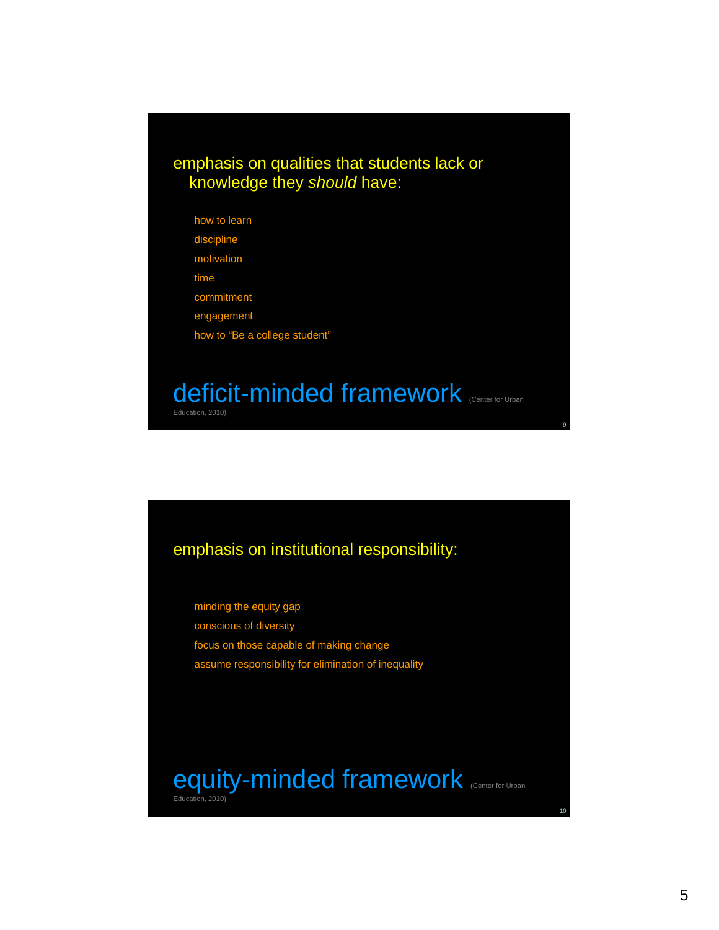#### emphasis on qualities that students lack or knowledge they *should* have:

how to learn discipline motivation time commitment engagement how to "Be a college student"

## deficit-minded framework (Center for Urban

Education, 2010)

#### emphasis on institutional responsibility:

minding the equity gap conscious of diversity focus on those capable of making change assume responsibility for elimination of inequality

equity-minded framework (Center for Urban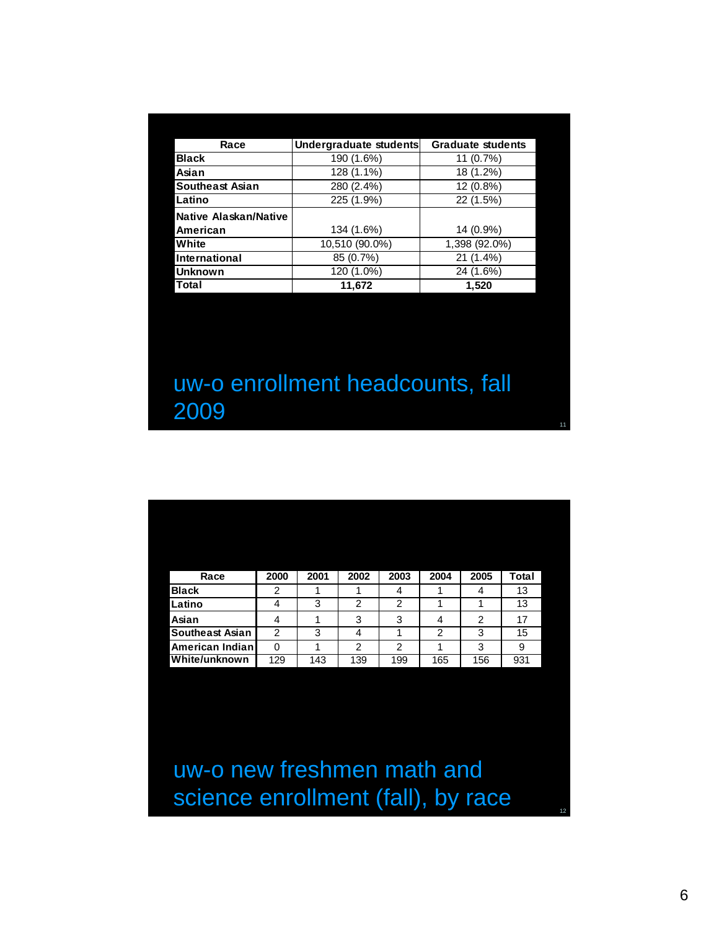| Race                         | Undergraduate students | <b>Graduate students</b> |
|------------------------------|------------------------|--------------------------|
| <b>Black</b>                 | 190 (1.6%)             | 11 (0.7%)                |
| Asian                        | 128 (1.1%)             | 18 (1.2%)                |
| <b>Southeast Asian</b>       | 280 (2.4%)             | 12 (0.8%)                |
| Latino                       | 225 (1.9%)             | 22 (1.5%)                |
| <b>Native Alaskan/Native</b> |                        |                          |
| American                     | 134 (1.6%)             | 14 (0.9%)                |
| White                        | 10,510 (90.0%)         | 1,398 (92.0%)            |
| International                | 85 (0.7%)              | 21 (1.4%)                |
| <b>Unknown</b>               | 120 (1.0%)             | 24 (1.6%)                |
| Total                        | 11,672                 | 1,520                    |

## uw-o enrollment headcounts, fall 2009

| Race                   | 2000 | 2001 | 2002 | 2003 | 2004 | 2005 | <b>Total</b> |
|------------------------|------|------|------|------|------|------|--------------|
| <b>Black</b>           | 2    |      |      | 4    |      |      | 13           |
| Latino                 |      | 3    | 2    | 2    |      |      | 13           |
| Asian                  |      |      | 3    | 3    |      | 2    | 17           |
| <b>Southeast Asian</b> | 2    | 3    |      |      | 2    | 3    | 15           |
| American Indian        |      |      | 2    | 2    |      | 3    | 9            |
| White/unknown          | 129  | 143  | 139  | 199  | 165  | 156  | 931          |

uw-o new freshmen math and science enrollment (fall), by race

12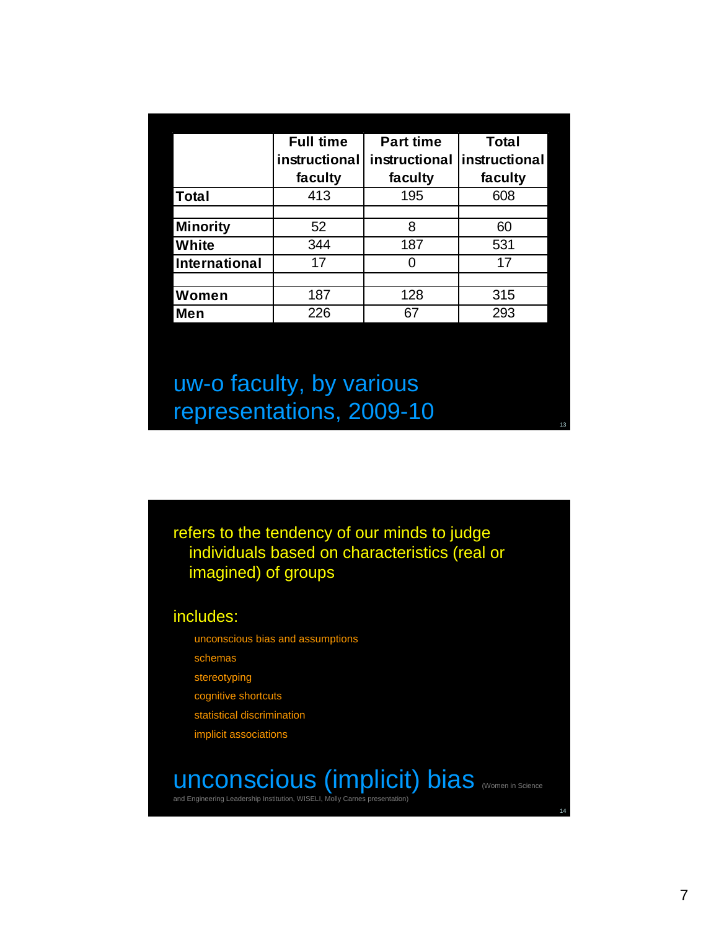|                 | <b>Full time</b> | <b>Part time</b> | <b>Total</b>  |
|-----------------|------------------|------------------|---------------|
|                 | instructional    | instructional    | instructional |
|                 | faculty          | faculty          | faculty       |
| <b>Total</b>    | 413              | 195              | 608           |
|                 |                  |                  |               |
| <b>Minority</b> | 52               | 8                | 60            |
| White           | 344              | 187              | 531           |
| International   | 17               | 0                | 17            |
|                 |                  |                  |               |
| Women           | 187              | 128              | 315           |
| Men             | 226              | 67               | 293           |

uw-o faculty, by various representations, 2009-10

refers to the tendency of our minds to judge individuals based on characteristics (real or imagined) of groups

includes:

unconscious bias and assumptions

schemas

stereotyping

cognitive shortcuts

statistical discrimination

implicit associations

## unconscious (implicit) bias (Women in Science

and Engineering Leadership Institution, WISELI, Molly Carnes presentation

14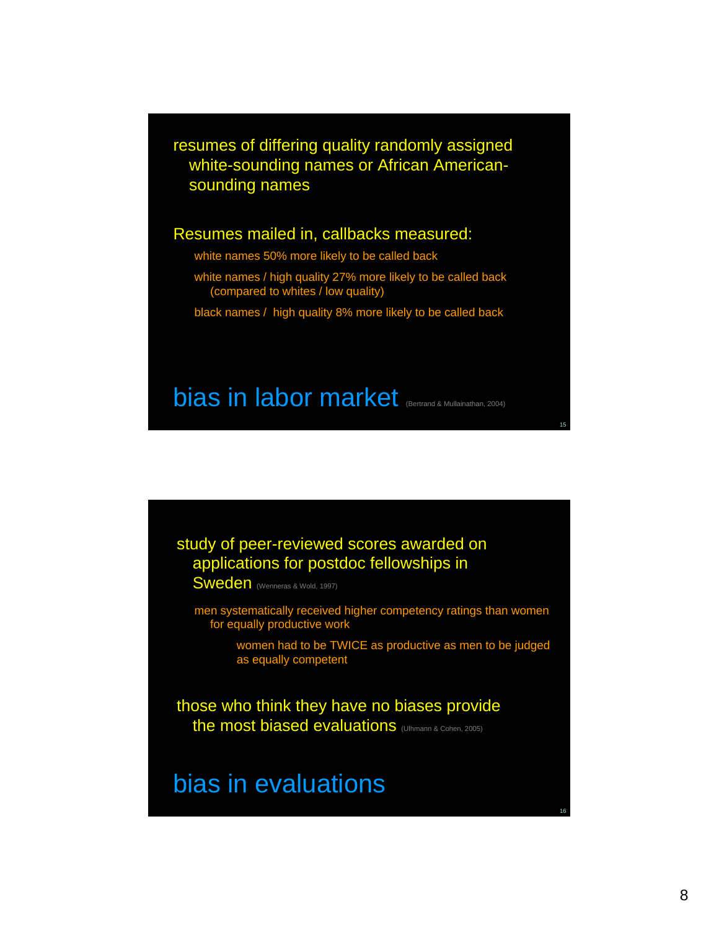resumes of differing quality randomly assigned white-sounding names or African Americansounding names

#### Resumes mailed in, callbacks measured:

- white names 50% more likely to be called back
- white names / high quality 27% more likely to be called back (compared to whites / low quality)
- black names / high quality 8% more likely to be called back

## bias in labor market (Bertrand & Mullainathan, 2004)

#### study of peer-reviewed scores awarded on applications for postdoc fellowships in

Sweden (Wenneras & Wold, 1997)

men systematically received higher competency ratings than women for equally productive work

> women had to be TWICE as productive as men to be judged as equally competent

those who think they have no biases provide the most biased evaluations (Ulhmann & Cohen, 2005)

### bias in evaluations

15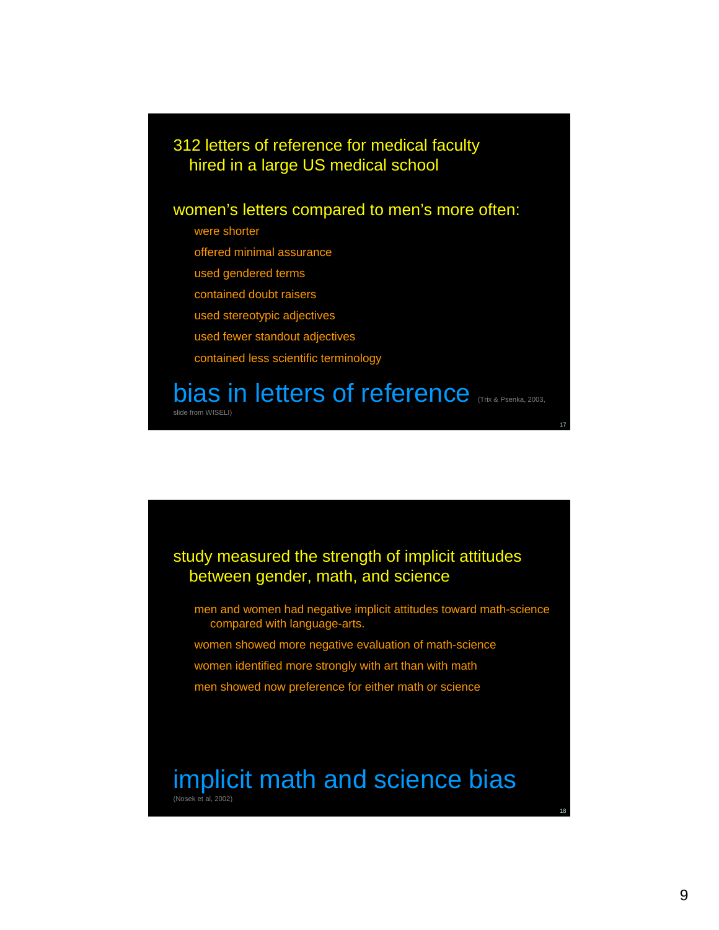#### 312 letters of reference for medical faculty hired in a large US medical school

#### women's letters compared to men's more often:

were shorter

slide from WISELI)

offered minimal assurance

used gendered terms

contained doubt raisers

used stereotypic adjectives

used fewer standout adjectives

contained less scientific terminology

## bias in letters of reference (Trix & Psenka, 2003,

study measured the strength of implicit attitudes

between gender, math, and science

men and women had negative implicit attitudes toward math-science compared with language-arts.

women showed more negative evaluation of math-science

women identified more strongly with art than with math

men showed now preference for either math or science

#### implicit math and science bias (Nosek et al, 2002)

18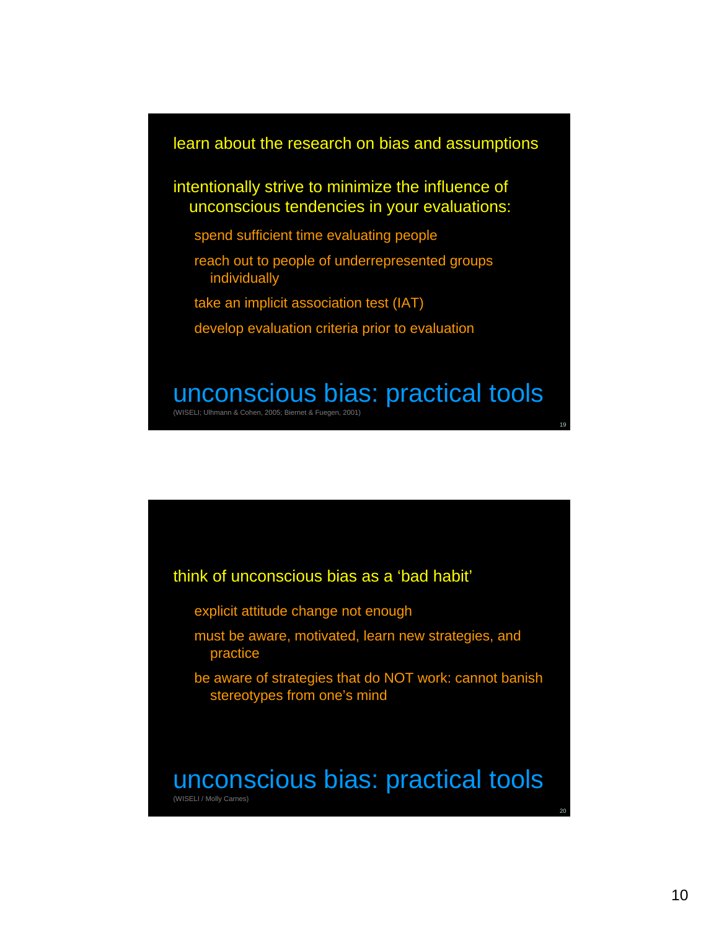#### learn about the research on bias and assumptions

intentionally strive to minimize the influence of unconscious tendencies in your evaluations:

- spend sufficient time evaluating people
- reach out to people of underrepresented groups individually
- take an implicit association test (IAT)
- develop evaluation criteria prior to evaluation

## unconscious bias: practical tools

(WISELI; Ulhmann & Cohen, 2005; Biernet & Fuegen, 2001)



- explicit attitude change not enough
- must be aware, motivated, learn new strategies, and practice
- be aware of strategies that do NOT work: cannot banish stereotypes from one's mind

#### unconscious bias: practical tools (WISELI / Molly Carnes)

19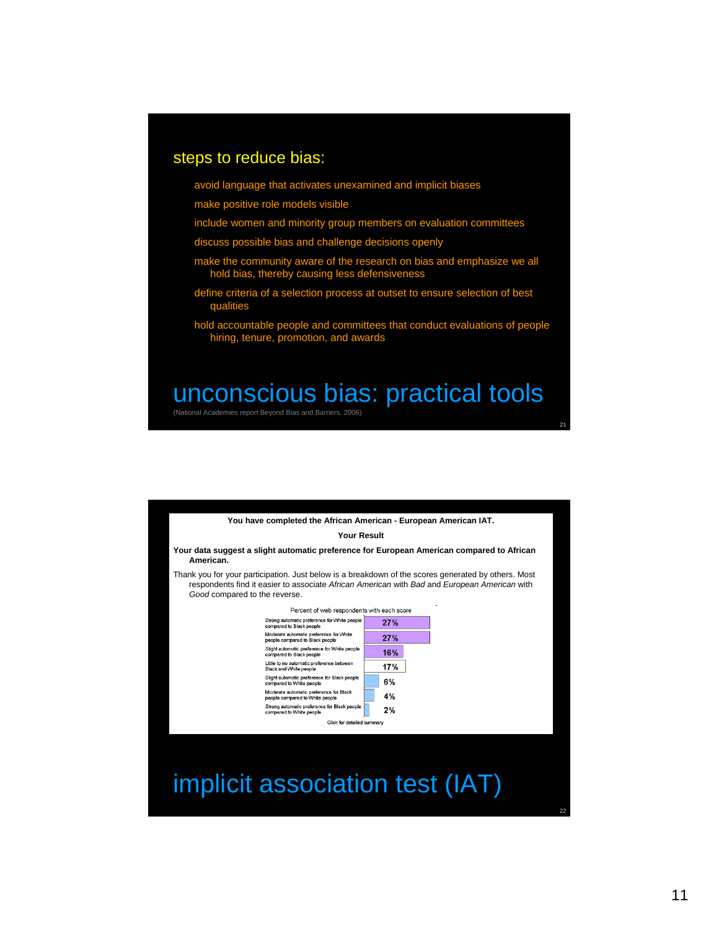#### steps to reduce bias:

avoid language that activates unexamined and implicit biases

make positive role models visible

- include women and minority group members on evaluation committees
- discuss possible bias and challenge decisions openly
- make the community aware of the research on bias and emphasize we all hold bias, thereby causing less defensiveness
- define criteria of a selection process at outset to ensure selection of best qualities
- hold accountable people and committees that conduct evaluations of people hiring, tenure, promotion, and awards

### unconscious bias: practical tools

(National Academies report Beyond Bias and Barriers, 2006)

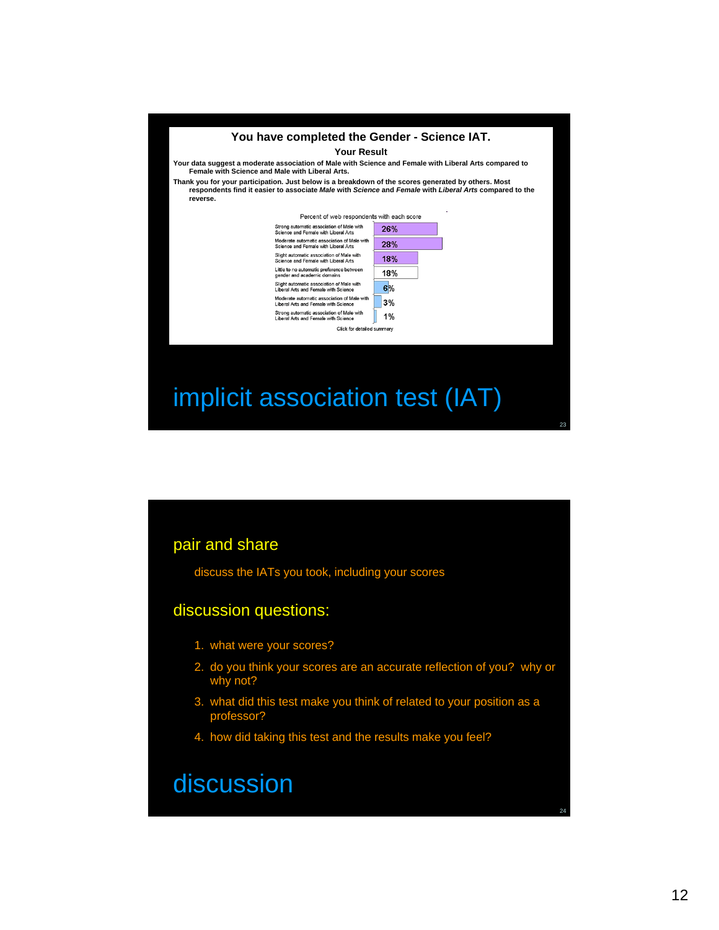

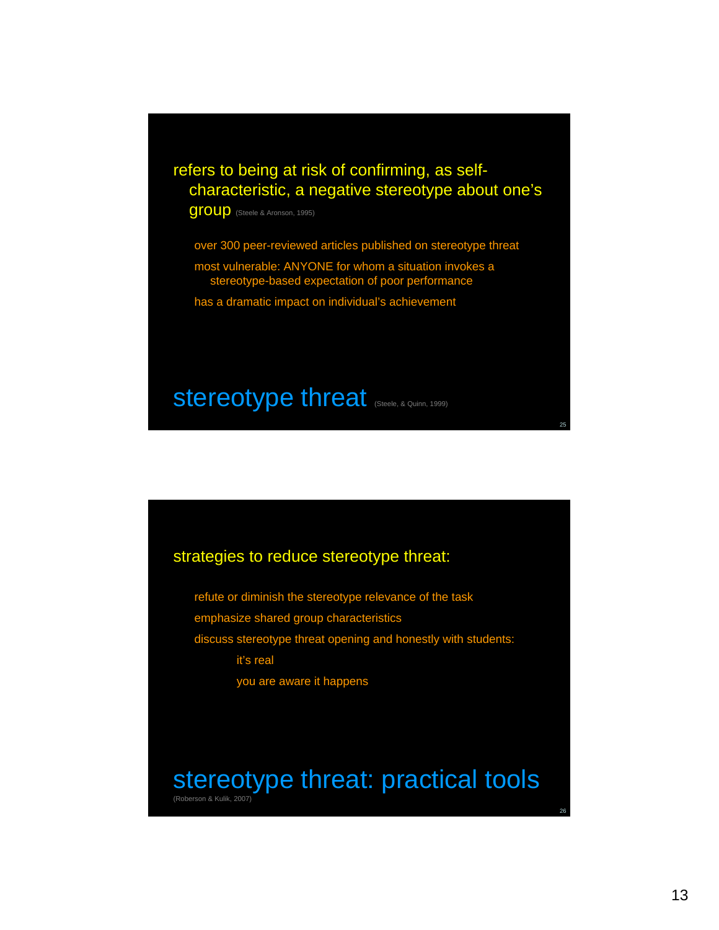#### refers to being at risk of confirming, as selfcharacteristic, a negative stereotype about one's

group (Steele & Aronson, 1995)

over 300 peer-reviewed articles published on stereotype threat

most vulnerable: ANYONE for whom a situation invokes a stereotype-based expectation of poor performance

has a dramatic impact on individual's achievement

### Stereotype threat (Steele, & Quinn, 1999)

#### strategies to reduce stereotype threat:

refute or diminish the stereotype relevance of the task emphasize shared group characteristics discuss stereotype threat opening and honestly with students: it's real you are aware it happens

## stereotype threat: practical tools

(Roberson & Kulik, 2007)

25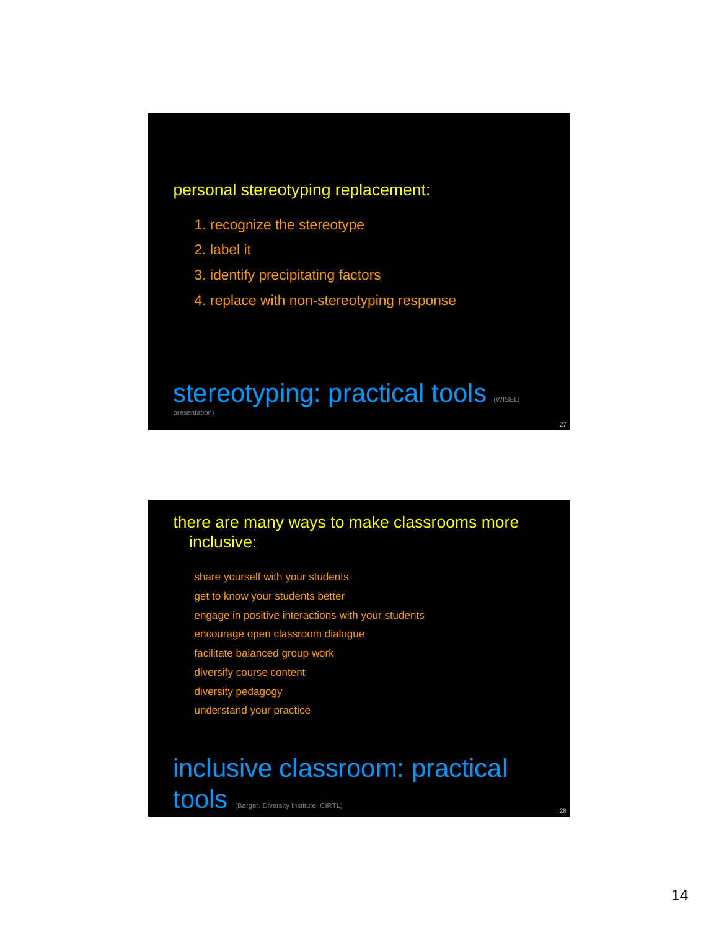#### personal stereotyping replacement:

- 1. recognize the stereotype
- 2. label it
- 3. identify precipitating factors
- 4. replace with non-stereotyping response

#### stereotyping: practical tools **MISELI** presentation)

#### there are many ways to make classrooms more inclusive:

share yourself with your students

- get to know your students better
- engage in positive interactions with your students
- encourage open classroom dialogue
- facilitate balanced group work
- diversify course content
- diversity pedagogy
- understand your practice

# inclusive classroom: practical

tools (Barger, Diversity Institute, CIRTL)

28